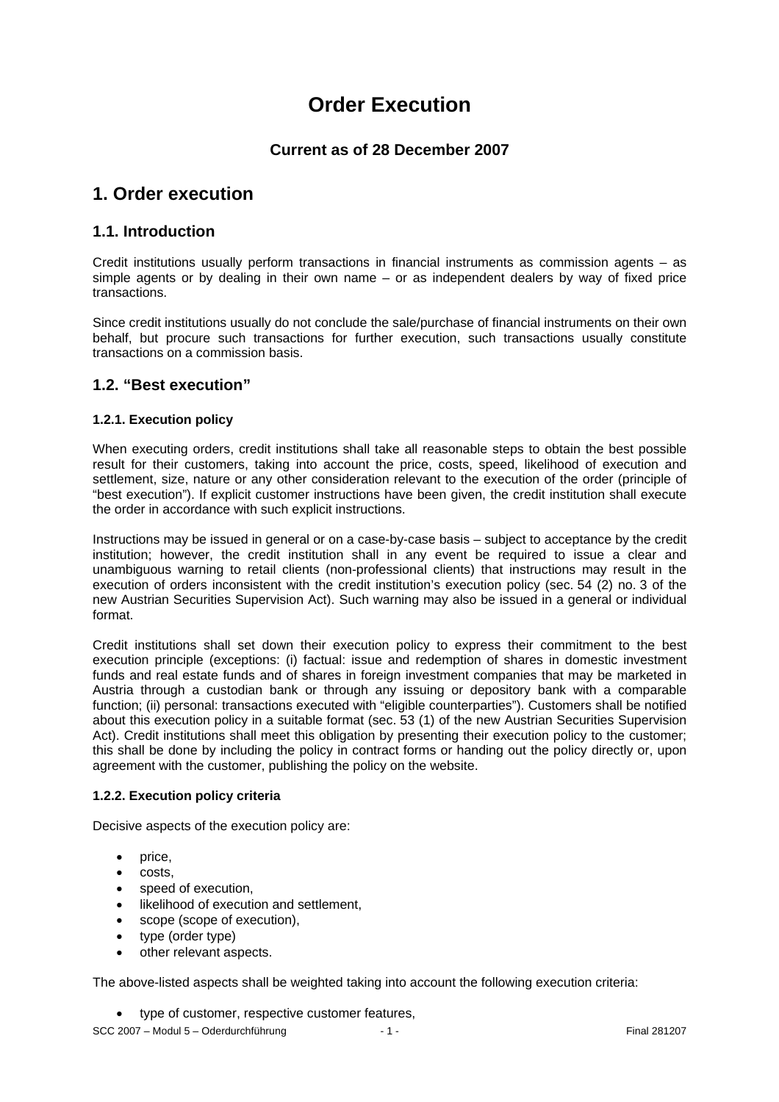# **Order Execution**

## **Current as of 28 December 2007**

## **1. Order execution**

#### **1.1. Introduction**

Credit institutions usually perform transactions in financial instruments as commission agents – as simple agents or by dealing in their own name – or as independent dealers by way of fixed price transactions.

Since credit institutions usually do not conclude the sale/purchase of financial instruments on their own behalf, but procure such transactions for further execution, such transactions usually constitute transactions on a commission basis.

#### **1.2. "Best execution"**

#### **1.2.1. Execution policy**

When executing orders, credit institutions shall take all reasonable steps to obtain the best possible result for their customers, taking into account the price, costs, speed, likelihood of execution and settlement, size, nature or any other consideration relevant to the execution of the order (principle of "best execution"). If explicit customer instructions have been given, the credit institution shall execute the order in accordance with such explicit instructions.

Instructions may be issued in general or on a case-by-case basis – subject to acceptance by the credit institution; however, the credit institution shall in any event be required to issue a clear and unambiguous warning to retail clients (non-professional clients) that instructions may result in the execution of orders inconsistent with the credit institution's execution policy (sec. 54 (2) no. 3 of the new Austrian Securities Supervision Act). Such warning may also be issued in a general or individual format.

Credit institutions shall set down their execution policy to express their commitment to the best execution principle (exceptions: (i) factual: issue and redemption of shares in domestic investment funds and real estate funds and of shares in foreign investment companies that may be marketed in Austria through a custodian bank or through any issuing or depository bank with a comparable function; (ii) personal: transactions executed with "eligible counterparties"). Customers shall be notified about this execution policy in a suitable format (sec. 53 (1) of the new Austrian Securities Supervision Act). Credit institutions shall meet this obligation by presenting their execution policy to the customer; this shall be done by including the policy in contract forms or handing out the policy directly or, upon agreement with the customer, publishing the policy on the website.

#### **1.2.2. Execution policy criteria**

Decisive aspects of the execution policy are:

- price,
- costs,
- speed of execution.
- likelihood of execution and settlement,
- scope (scope of execution),
- type (order type)
- other relevant aspects.

The above-listed aspects shall be weighted taking into account the following execution criteria:

• type of customer, respective customer features,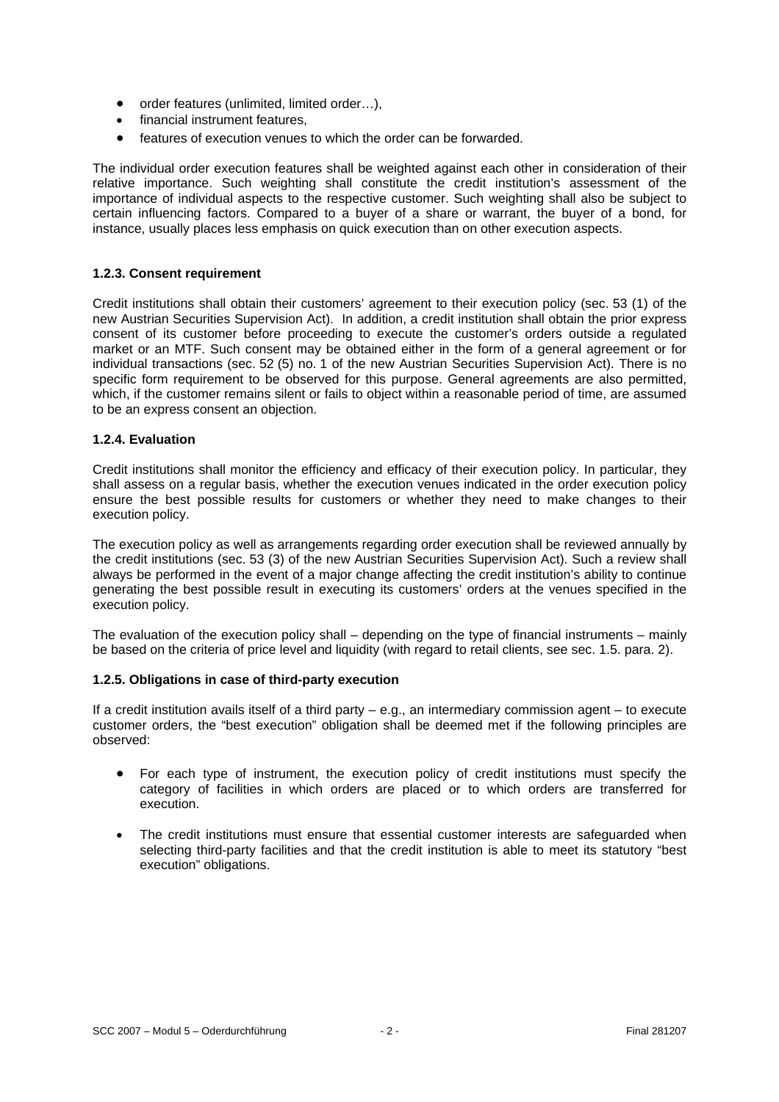- order features (unlimited, limited order…),
- financial instrument features,
- features of execution venues to which the order can be forwarded.

The individual order execution features shall be weighted against each other in consideration of their relative importance. Such weighting shall constitute the credit institution's assessment of the importance of individual aspects to the respective customer. Such weighting shall also be subject to certain influencing factors. Compared to a buyer of a share or warrant, the buyer of a bond, for instance, usually places less emphasis on quick execution than on other execution aspects.

#### **1.2.3. Consent requirement**

Credit institutions shall obtain their customers' agreement to their execution policy (sec. 53 (1) of the new Austrian Securities Supervision Act). In addition, a credit institution shall obtain the prior express consent of its customer before proceeding to execute the customer's orders outside a regulated market or an MTF. Such consent may be obtained either in the form of a general agreement or for individual transactions (sec. 52 (5) no. 1 of the new Austrian Securities Supervision Act). There is no specific form requirement to be observed for this purpose. General agreements are also permitted, which, if the customer remains silent or fails to object within a reasonable period of time, are assumed to be an express consent an objection.

#### **1.2.4. Evaluation**

Credit institutions shall monitor the efficiency and efficacy of their execution policy. In particular, they shall assess on a regular basis, whether the execution venues indicated in the order execution policy ensure the best possible results for customers or whether they need to make changes to their execution policy.

The execution policy as well as arrangements regarding order execution shall be reviewed annually by the credit institutions (sec. 53 (3) of the new Austrian Securities Supervision Act). Such a review shall always be performed in the event of a major change affecting the credit institution's ability to continue generating the best possible result in executing its customers' orders at the venues specified in the execution policy.

The evaluation of the execution policy shall – depending on the type of financial instruments – mainly be based on the criteria of price level and liquidity (with regard to retail clients, see sec. 1.5. para. 2).

#### **1.2.5. Obligations in case of third-party execution**

If a credit institution avails itself of a third party – e.g., an intermediary commission agent – to execute customer orders, the "best execution" obligation shall be deemed met if the following principles are observed:

- For each type of instrument, the execution policy of credit institutions must specify the category of facilities in which orders are placed or to which orders are transferred for execution.
- The credit institutions must ensure that essential customer interests are safeguarded when selecting third-party facilities and that the credit institution is able to meet its statutory "best execution" obligations.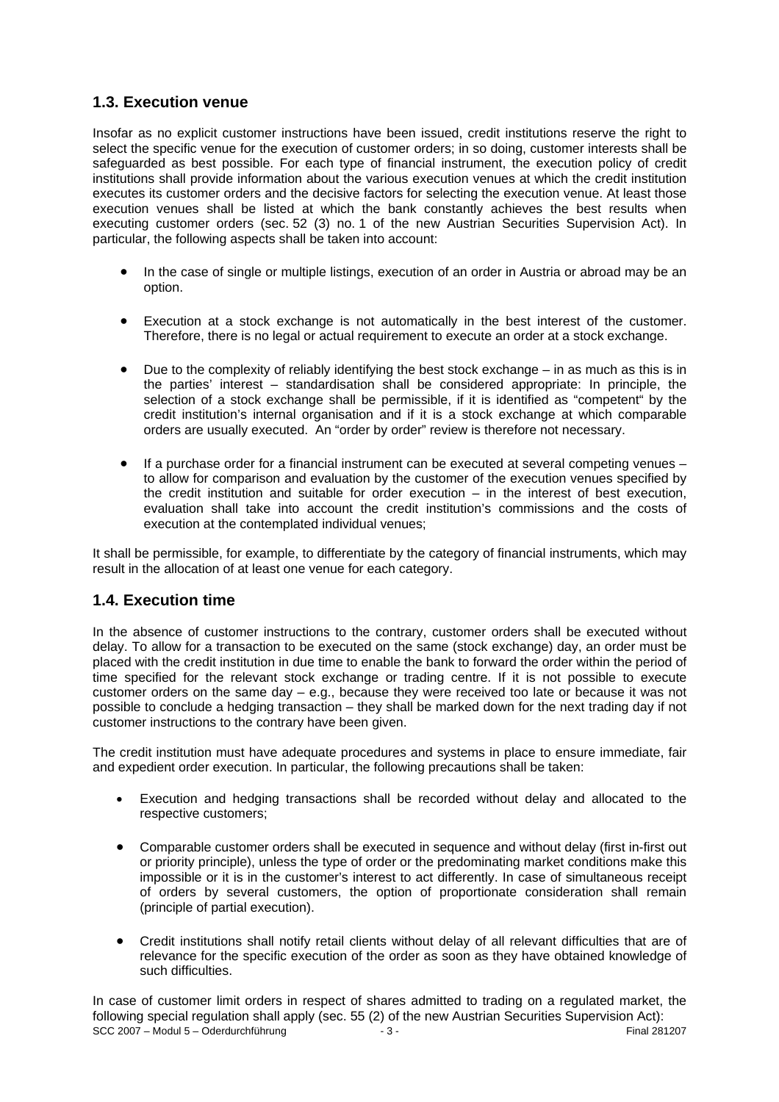## **1.3. Execution venue**

Insofar as no explicit customer instructions have been issued, credit institutions reserve the right to select the specific venue for the execution of customer orders; in so doing, customer interests shall be safeguarded as best possible. For each type of financial instrument, the execution policy of credit institutions shall provide information about the various execution venues at which the credit institution executes its customer orders and the decisive factors for selecting the execution venue. At least those execution venues shall be listed at which the bank constantly achieves the best results when executing customer orders (sec. 52 (3) no. 1 of the new Austrian Securities Supervision Act). In particular, the following aspects shall be taken into account:

- In the case of single or multiple listings, execution of an order in Austria or abroad may be an option.
- Execution at a stock exchange is not automatically in the best interest of the customer. Therefore, there is no legal or actual requirement to execute an order at a stock exchange.
- Due to the complexity of reliably identifying the best stock exchange  $-$  in as much as this is in the parties' interest – standardisation shall be considered appropriate: In principle, the selection of a stock exchange shall be permissible, if it is identified as "competent" by the credit institution's internal organisation and if it is a stock exchange at which comparable orders are usually executed. An "order by order" review is therefore not necessary.
- If a purchase order for a financial instrument can be executed at several competing venues to allow for comparison and evaluation by the customer of the execution venues specified by the credit institution and suitable for order execution – in the interest of best execution, evaluation shall take into account the credit institution's commissions and the costs of execution at the contemplated individual venues;

It shall be permissible, for example, to differentiate by the category of financial instruments, which may result in the allocation of at least one venue for each category.

#### **1.4. Execution time**

In the absence of customer instructions to the contrary, customer orders shall be executed without delay. To allow for a transaction to be executed on the same (stock exchange) day, an order must be placed with the credit institution in due time to enable the bank to forward the order within the period of time specified for the relevant stock exchange or trading centre. If it is not possible to execute customer orders on the same day – e.g., because they were received too late or because it was not possible to conclude a hedging transaction – they shall be marked down for the next trading day if not customer instructions to the contrary have been given.

The credit institution must have adequate procedures and systems in place to ensure immediate, fair and expedient order execution. In particular, the following precautions shall be taken:

- Execution and hedging transactions shall be recorded without delay and allocated to the respective customers;
- Comparable customer orders shall be executed in sequence and without delay (first in-first out or priority principle), unless the type of order or the predominating market conditions make this impossible or it is in the customer's interest to act differently. In case of simultaneous receipt of orders by several customers, the option of proportionate consideration shall remain (principle of partial execution).
- Credit institutions shall notify retail clients without delay of all relevant difficulties that are of relevance for the specific execution of the order as soon as they have obtained knowledge of such difficulties.

SCC 2007 – Modul 5 – Oderdurchführung - 3 - Final 281207 In case of customer limit orders in respect of shares admitted to trading on a regulated market, the following special regulation shall apply (sec. 55 (2) of the new Austrian Securities Supervision Act):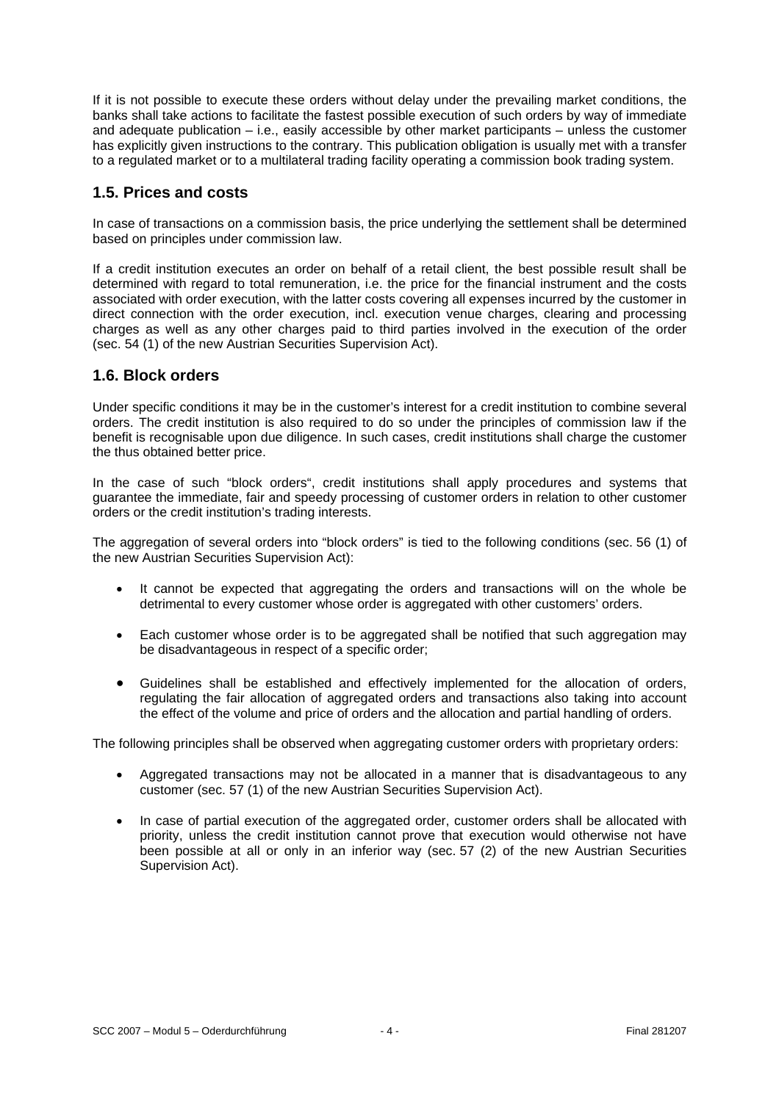If it is not possible to execute these orders without delay under the prevailing market conditions, the banks shall take actions to facilitate the fastest possible execution of such orders by way of immediate and adequate publication – i.e., easily accessible by other market participants – unless the customer has explicitly given instructions to the contrary. This publication obligation is usually met with a transfer to a regulated market or to a multilateral trading facility operating a commission book trading system.

## **1.5. Prices and costs**

In case of transactions on a commission basis, the price underlying the settlement shall be determined based on principles under commission law.

If a credit institution executes an order on behalf of a retail client, the best possible result shall be determined with regard to total remuneration, i.e. the price for the financial instrument and the costs associated with order execution, with the latter costs covering all expenses incurred by the customer in direct connection with the order execution, incl. execution venue charges, clearing and processing charges as well as any other charges paid to third parties involved in the execution of the order (sec. 54 (1) of the new Austrian Securities Supervision Act).

#### **1.6. Block orders**

Under specific conditions it may be in the customer's interest for a credit institution to combine several orders. The credit institution is also required to do so under the principles of commission law if the benefit is recognisable upon due diligence. In such cases, credit institutions shall charge the customer the thus obtained better price.

In the case of such "block orders", credit institutions shall apply procedures and systems that guarantee the immediate, fair and speedy processing of customer orders in relation to other customer orders or the credit institution's trading interests.

The aggregation of several orders into "block orders" is tied to the following conditions (sec. 56 (1) of the new Austrian Securities Supervision Act):

- It cannot be expected that aggregating the orders and transactions will on the whole be detrimental to every customer whose order is aggregated with other customers' orders.
- Each customer whose order is to be aggregated shall be notified that such aggregation may be disadvantageous in respect of a specific order;
- Guidelines shall be established and effectively implemented for the allocation of orders, regulating the fair allocation of aggregated orders and transactions also taking into account the effect of the volume and price of orders and the allocation and partial handling of orders.

The following principles shall be observed when aggregating customer orders with proprietary orders:

- Aggregated transactions may not be allocated in a manner that is disadvantageous to any customer (sec. 57 (1) of the new Austrian Securities Supervision Act).
- In case of partial execution of the aggregated order, customer orders shall be allocated with priority, unless the credit institution cannot prove that execution would otherwise not have been possible at all or only in an inferior way (sec. 57 (2) of the new Austrian Securities Supervision Act).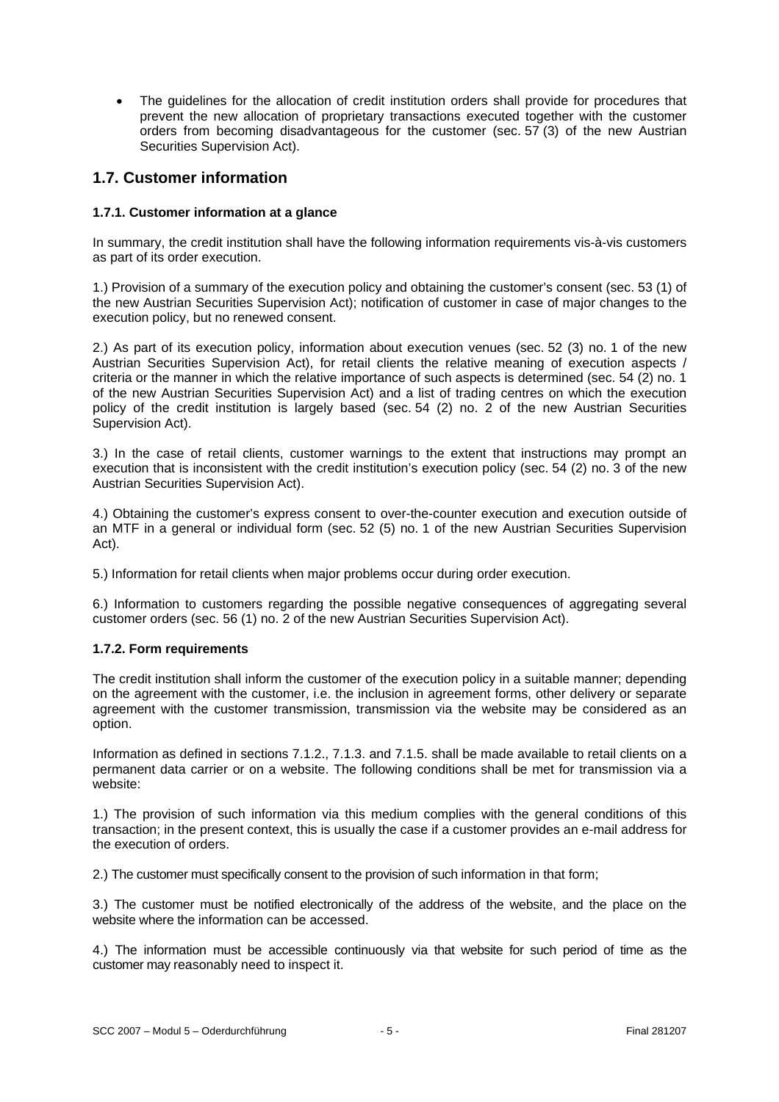The guidelines for the allocation of credit institution orders shall provide for procedures that prevent the new allocation of proprietary transactions executed together with the customer orders from becoming disadvantageous for the customer (sec. 57 (3) of the new Austrian Securities Supervision Act).

## **1.7. Customer information**

#### **1.7.1. Customer information at a glance**

In summary, the credit institution shall have the following information requirements vis-à-vis customers as part of its order execution.

1.) Provision of a summary of the execution policy and obtaining the customer's consent (sec. 53 (1) of the new Austrian Securities Supervision Act); notification of customer in case of major changes to the execution policy, but no renewed consent.

2.) As part of its execution policy, information about execution venues (sec. 52 (3) no. 1 of the new Austrian Securities Supervision Act), for retail clients the relative meaning of execution aspects / criteria or the manner in which the relative importance of such aspects is determined (sec. 54 (2) no. 1 of the new Austrian Securities Supervision Act) and a list of trading centres on which the execution policy of the credit institution is largely based (sec. 54 (2) no. 2 of the new Austrian Securities Supervision Act).

3.) In the case of retail clients, customer warnings to the extent that instructions may prompt an execution that is inconsistent with the credit institution's execution policy (sec. 54 (2) no. 3 of the new Austrian Securities Supervision Act).

4.) Obtaining the customer's express consent to over-the-counter execution and execution outside of an MTF in a general or individual form (sec. 52 (5) no. 1 of the new Austrian Securities Supervision Act).

5.) Information for retail clients when major problems occur during order execution.

6.) Information to customers regarding the possible negative consequences of aggregating several customer orders (sec. 56 (1) no. 2 of the new Austrian Securities Supervision Act).

#### **1.7.2. Form requirements**

The credit institution shall inform the customer of the execution policy in a suitable manner; depending on the agreement with the customer, i.e. the inclusion in agreement forms, other delivery or separate agreement with the customer transmission, transmission via the website may be considered as an option.

Information as defined in sections 7.1.2., 7.1.3. and 7.1.5. shall be made available to retail clients on a permanent data carrier or on a website. The following conditions shall be met for transmission via a website:

1.) The provision of such information via this medium complies with the general conditions of this transaction; in the present context, this is usually the case if a customer provides an e-mail address for the execution of orders.

2.) The customer must specifically consent to the provision of such information in that form;

3.) The customer must be notified electronically of the address of the website, and the place on the website where the information can be accessed.

4.) The information must be accessible continuously via that website for such period of time as the customer may reasonably need to inspect it.